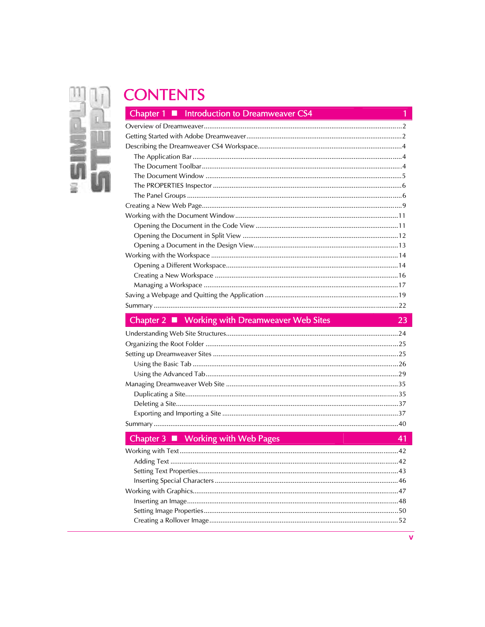

# **CONTENTS**

| Chapter $\blacksquare$ Introduction to Dreamweaver CS4 |
|--------------------------------------------------------|
|                                                        |
|                                                        |
|                                                        |
|                                                        |
|                                                        |
|                                                        |
|                                                        |
|                                                        |
|                                                        |
|                                                        |
|                                                        |
|                                                        |
|                                                        |
|                                                        |
|                                                        |
|                                                        |
|                                                        |
|                                                        |
|                                                        |

| $\blacksquare$ Chapter 2 $\blacksquare$ Working with Dreamweaver Web Sites |  |
|----------------------------------------------------------------------------|--|
|                                                                            |  |
|                                                                            |  |
|                                                                            |  |
|                                                                            |  |
|                                                                            |  |
|                                                                            |  |
|                                                                            |  |
|                                                                            |  |
|                                                                            |  |
|                                                                            |  |

#### **Working with Web Pages**  $\overline{C}$ r R

| $\Box$ Chapter $\Box$ = <b>WORTH</b> with Web rages |  |
|-----------------------------------------------------|--|
|                                                     |  |
|                                                     |  |
|                                                     |  |
|                                                     |  |
|                                                     |  |
|                                                     |  |
|                                                     |  |
|                                                     |  |
|                                                     |  |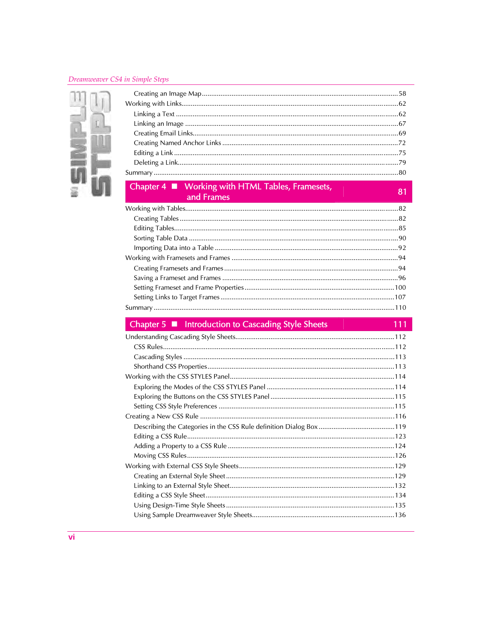#### Dreamweaver CS4 in Simple Steps



#### Working with HTML Tables, Framesets, Chapter  $4 \blacksquare$ d Fran

### 81

111

### Chapter 5 ■ Introduction to Cascading Style Sheets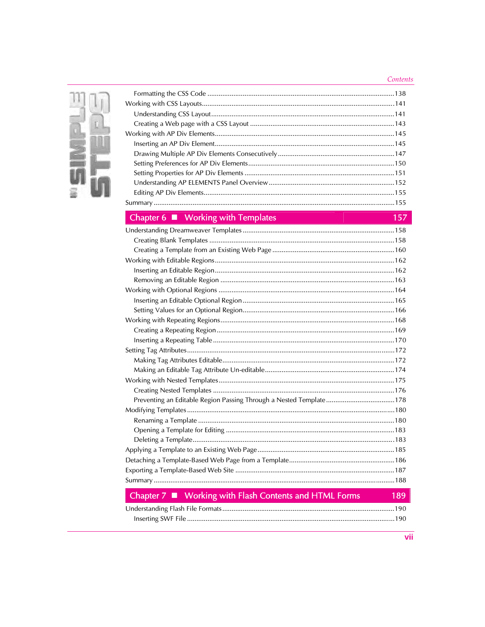### $Contents$



### Chapter 6 ■ Working with Templates

### 157

| Preventing an Editable Region Passing Through a Nested Template178                           |  |
|----------------------------------------------------------------------------------------------|--|
|                                                                                              |  |
|                                                                                              |  |
|                                                                                              |  |
|                                                                                              |  |
|                                                                                              |  |
|                                                                                              |  |
|                                                                                              |  |
|                                                                                              |  |
| and the property of the control of<br>and the second control of the second<br><b>Service</b> |  |

#### Chapter 7 Working with Flash Contents and HTML Forms 189